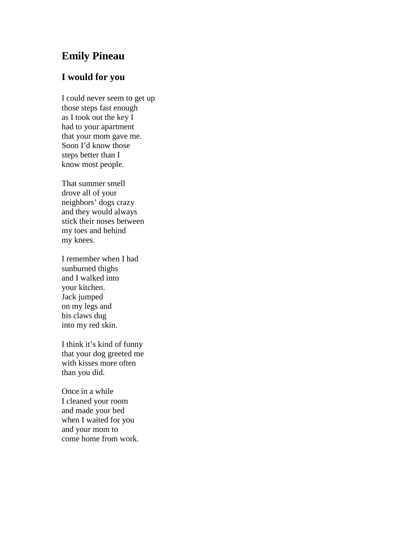## **Emily Pineau**

## **I would for you**

I could never seem to get up those steps fast enough as I took out the key I had to your apartment that your mom gave me. Soon I'd know those steps better than I know most people.

That summer smell drove all of your neighbors' dogs crazy and they would always stick their noses between my toes and behind my knees.

I remember when I had sunburned thighs and I walked into your kitchen. Jack jumped on my legs and his claws dug into my red skin.

I think it's kind of funny that your dog greeted me with kisses more often than you did.

Once in a while I cleaned your room and made your bed when I waited for you and your mom to come home from work.